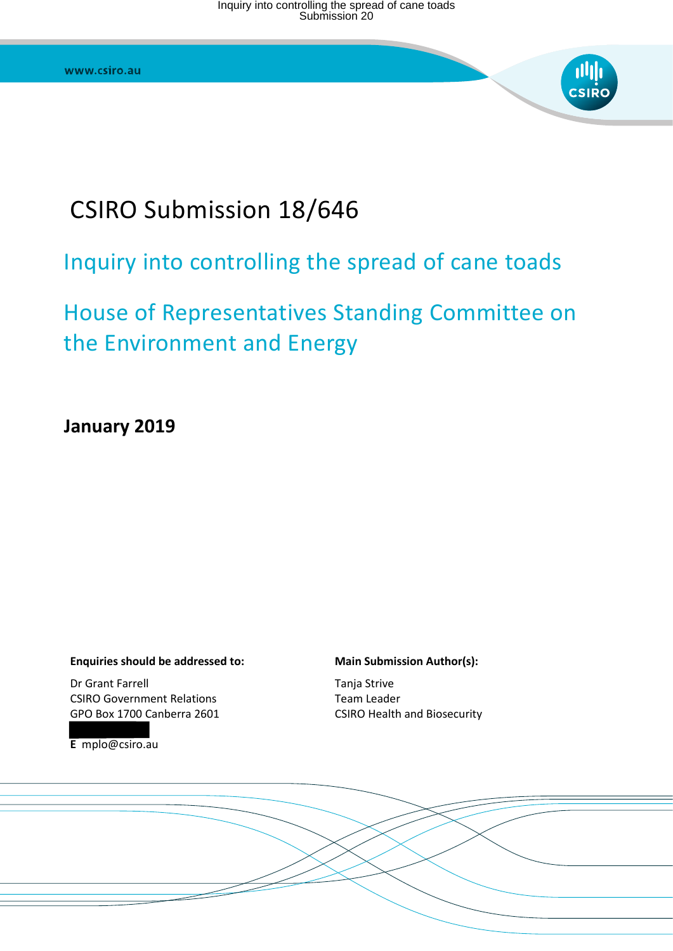# CSIRO Submission 18/646

# Inquiry into controlling the spread of cane toads

# House of Representatives Standing Committee on the Environment and Energy

**January 2019** 

#### **Enquiries should be addressed to:**

Dr Grant Farrell CSIRO Government Relations GPO Box 1700 Canberra 2601

**E** mplo@csiro.au

#### **Main Submission Author(s):**

Tanja Strive Team Leader CSIRO Health and Biosecurity

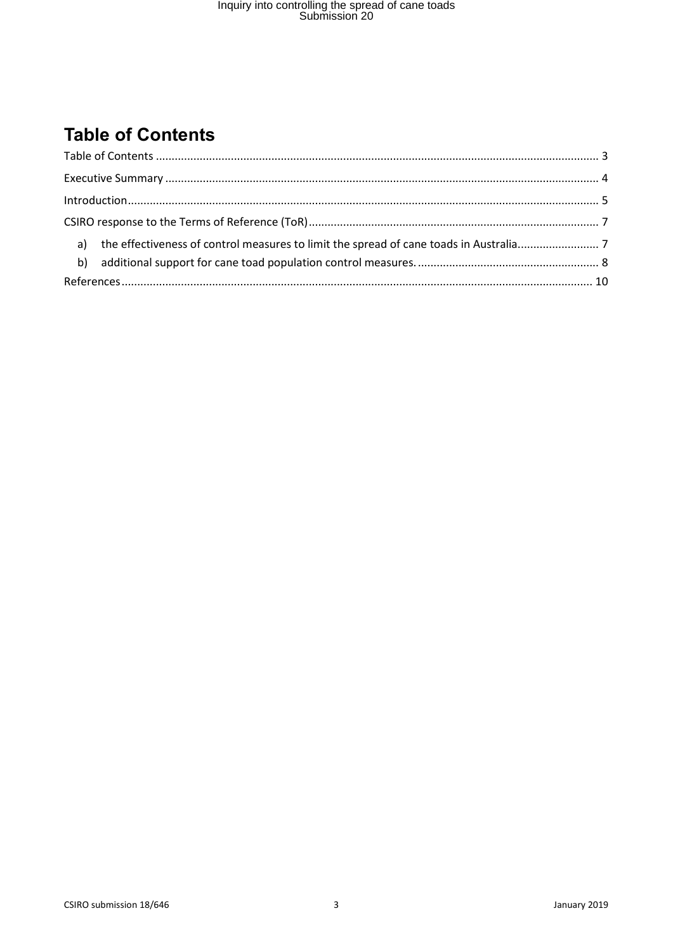## <span id="page-2-0"></span>**Table of Contents**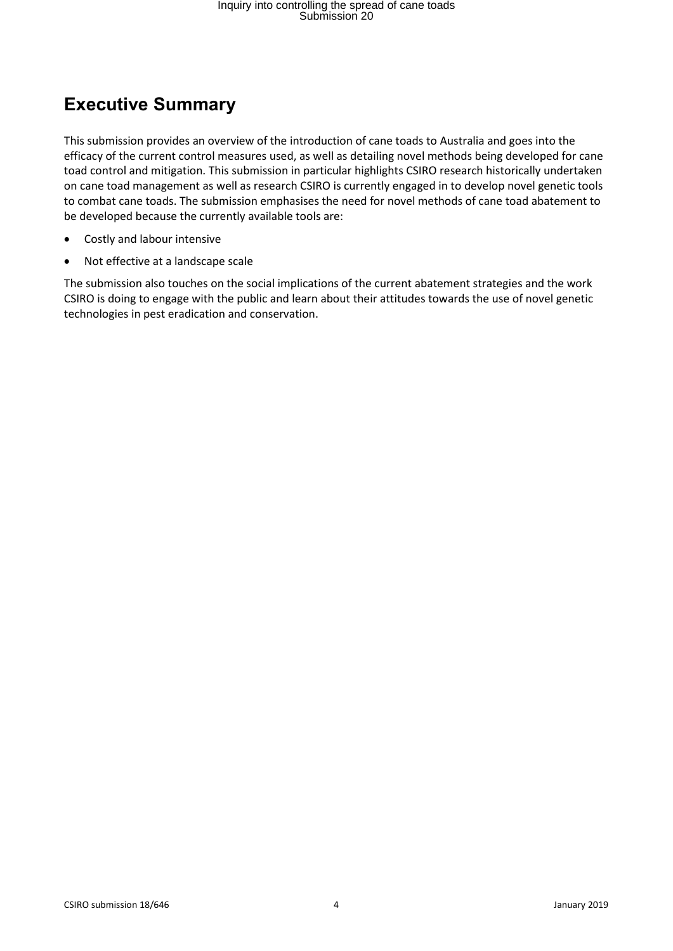#### <span id="page-3-0"></span>**Executive Summary**

This submission provides an overview of the introduction of cane toads to Australia and goes into the efficacy of the current control measures used, as well as detailing novel methods being developed for cane toad control and mitigation. This submission in particular highlights CSIRO research historically undertaken on cane toad management as well as research CSIRO is currently engaged in to develop novel genetic tools to combat cane toads. The submission emphasises the need for novel methods of cane toad abatement to be developed because the currently available tools are:

- Costly and labour intensive
- Not effective at a landscape scale

The submission also touches on the social implications of the current abatement strategies and the work CSIRO is doing to engage with the public and learn about their attitudes towards the use of novel genetic technologies in pest eradication and conservation.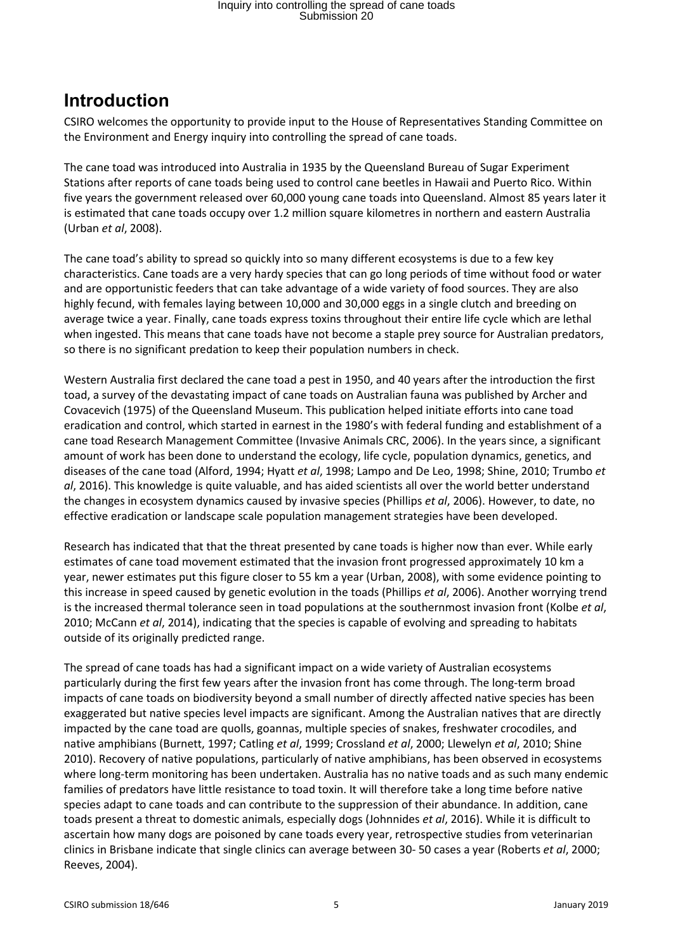#### <span id="page-4-0"></span>**Introduction**

CSIRO welcomes the opportunity to provide input to the House of Representatives Standing Committee on the Environment and Energy inquiry into controlling the spread of cane toads.

The cane toad was introduced into Australia in 1935 by the Queensland Bureau of Sugar Experiment Stations after reports of cane toads being used to control cane beetles in Hawaii and Puerto Rico. Within five years the government released over 60,000 young cane toads into Queensland. Almost 85 years later it is estimated that cane toads occupy over 1.2 million square kilometres in northern and eastern Australia (Urban *et al*, 2008).

The cane toad's ability to spread so quickly into so many different ecosystems is due to a few key characteristics. Cane toads are a very hardy species that can go long periods of time without food or water and are opportunistic feeders that can take advantage of a wide variety of food sources. They are also highly fecund, with females laying between 10,000 and 30,000 eggs in a single clutch and breeding on average twice a year. Finally, cane toads express toxins throughout their entire life cycle which are lethal when ingested. This means that cane toads have not become a staple prey source for Australian predators, so there is no significant predation to keep their population numbers in check.

Western Australia first declared the cane toad a pest in 1950, and 40 years after the introduction the first toad, a survey of the devastating impact of cane toads on Australian fauna was published by Archer and Covacevich (1975) of the Queensland Museum. This publication helped initiate efforts into cane toad eradication and control, which started in earnest in the 1980's with federal funding and establishment of a cane toad Research Management Committee (Invasive Animals CRC, 2006). In the years since, a significant amount of work has been done to understand the ecology, life cycle, population dynamics, genetics, and diseases of the cane toad (Alford, 1994; Hyatt *et al*, 1998; Lampo and De Leo, 1998; Shine, 2010; Trumbo *et al*, 2016). This knowledge is quite valuable, and has aided scientists all over the world better understand the changes in ecosystem dynamics caused by invasive species (Phillips *et al*, 2006). However, to date, no effective eradication or landscape scale population management strategies have been developed.

Research has indicated that that the threat presented by cane toads is higher now than ever. While early estimates of cane toad movement estimated that the invasion front progressed approximately 10 km a year, newer estimates put this figure closer to 55 km a year (Urban, 2008), with some evidence pointing to this increase in speed caused by genetic evolution in the toads (Phillips *et al*, 2006). Another worrying trend is the increased thermal tolerance seen in toad populations at the southernmost invasion front (Kolbe *et al*, 2010; McCann *et al*, 2014), indicating that the species is capable of evolving and spreading to habitats outside of its originally predicted range.

The spread of cane toads has had a significant impact on a wide variety of Australian ecosystems particularly during the first few years after the invasion front has come through. The long-term broad impacts of cane toads on biodiversity beyond a small number of directly affected native species has been exaggerated but native species level impacts are significant. Among the Australian natives that are directly impacted by the cane toad are quolls, goannas, multiple species of snakes, freshwater crocodiles, and native amphibians (Burnett, 1997; Catling *et al*, 1999; Crossland *et al*, 2000; Llewelyn *et al*, 2010; Shine 2010). Recovery of native populations, particularly of native amphibians, has been observed in ecosystems where long-term monitoring has been undertaken. Australia has no native toads and as such many endemic families of predators have little resistance to toad toxin. It will therefore take a long time before native species adapt to cane toads and can contribute to the suppression of their abundance. In addition, cane toads present a threat to domestic animals, especially dogs (Johnnides *et al*, 2016). While it is difficult to ascertain how many dogs are poisoned by cane toads every year, retrospective studies from veterinarian clinics in Brisbane indicate that single clinics can average between 30- 50 cases a year (Roberts *et al*, 2000; Reeves, 2004).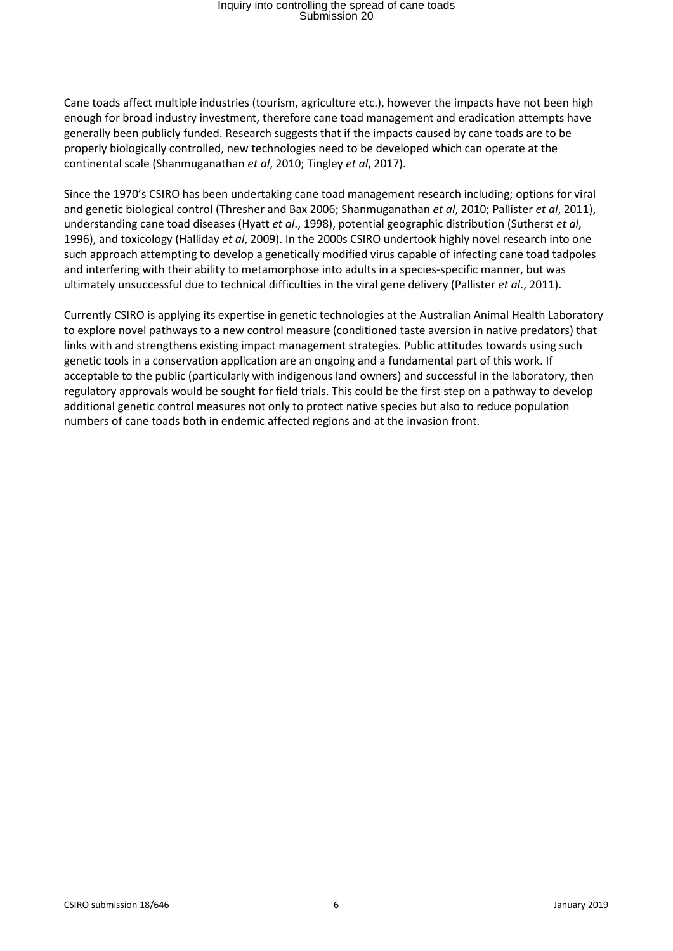Cane toads affect multiple industries (tourism, agriculture etc.), however the impacts have not been high enough for broad industry investment, therefore cane toad management and eradication attempts have generally been publicly funded. Research suggests that if the impacts caused by cane toads are to be properly biologically controlled, new technologies need to be developed which can operate at the continental scale (Shanmuganathan *et al*, 2010; Tingley *et al*, 2017).

Since the 1970's CSIRO has been undertaking cane toad management research including; options for viral and genetic biological control (Thresher and Bax 2006; Shanmuganathan *et al*, 2010; Pallister *et al*, 2011), understanding cane toad diseases (Hyatt *et al*., 1998), potential geographic distribution (Sutherst *et al*, 1996), and toxicology (Halliday *et al*, 2009). In the 2000s CSIRO undertook highly novel research into one such approach attempting to develop a genetically modified virus capable of infecting cane toad tadpoles and interfering with their ability to metamorphose into adults in a species-specific manner, but was ultimately unsuccessful due to technical difficulties in the viral gene delivery (Pallister *et al*., 2011).

Currently CSIRO is applying its expertise in genetic technologies at the Australian Animal Health Laboratory to explore novel pathways to a new control measure (conditioned taste aversion in native predators) that links with and strengthens existing impact management strategies. Public attitudes towards using such genetic tools in a conservation application are an ongoing and a fundamental part of this work. If acceptable to the public (particularly with indigenous land owners) and successful in the laboratory, then regulatory approvals would be sought for field trials. This could be the first step on a pathway to develop additional genetic control measures not only to protect native species but also to reduce population numbers of cane toads both in endemic affected regions and at the invasion front.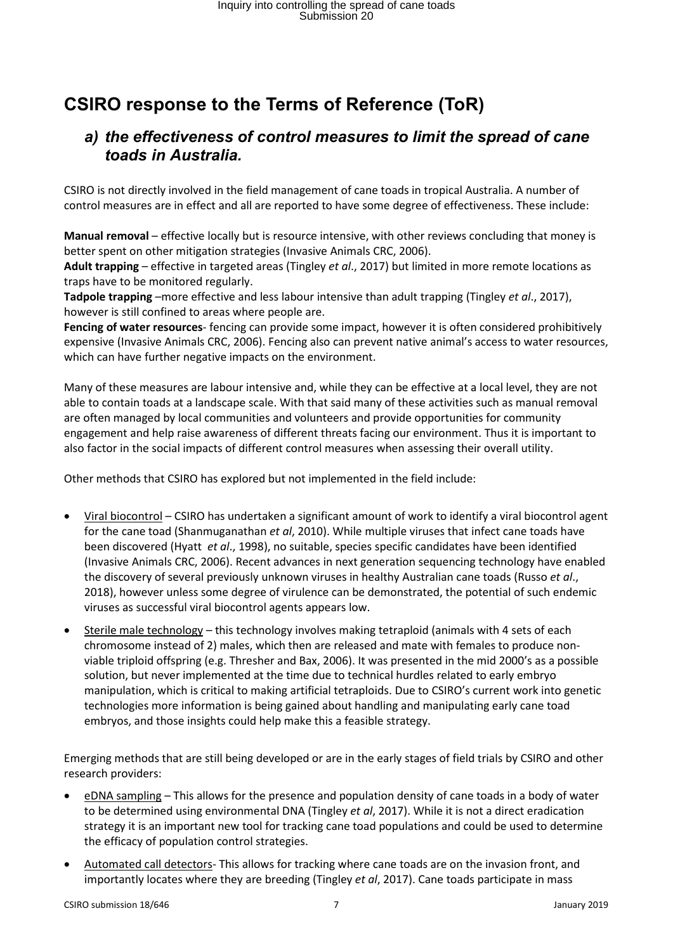### <span id="page-6-1"></span><span id="page-6-0"></span>**CSIRO response to the Terms of Reference (ToR)**

#### *a) the effectiveness of control measures to limit the spread of cane toads in Australia.*

CSIRO is not directly involved in the field management of cane toads in tropical Australia. A number of control measures are in effect and all are reported to have some degree of effectiveness. These include:

**Manual removal** – effective locally but is resource intensive, with other reviews concluding that money is better spent on other mitigation strategies (Invasive Animals CRC, 2006).

**Adult trapping** – effective in targeted areas (Tingley *et al*., 2017) but limited in more remote locations as traps have to be monitored regularly.

**Tadpole trapping** –more effective and less labour intensive than adult trapping (Tingley *et al*., 2017), however is still confined to areas where people are.

**Fencing of water resources**- fencing can provide some impact, however it is often considered prohibitively expensive (Invasive Animals CRC, 2006). Fencing also can prevent native animal's access to water resources, which can have further negative impacts on the environment.

Many of these measures are labour intensive and, while they can be effective at a local level, they are not able to contain toads at a landscape scale. With that said many of these activities such as manual removal are often managed by local communities and volunteers and provide opportunities for community engagement and help raise awareness of different threats facing our environment. Thus it is important to also factor in the social impacts of different control measures when assessing their overall utility.

Other methods that CSIRO has explored but not implemented in the field include:

- Viral biocontrol CSIRO has undertaken a significant amount of work to identify a viral biocontrol agent for the cane toad (Shanmuganathan *et al*, 2010). While multiple viruses that infect cane toads have been discovered (Hyatt *et al*., 1998), no suitable, species specific candidates have been identified (Invasive Animals CRC, 2006). Recent advances in next generation sequencing technology have enabled the discovery of several previously unknown viruses in healthy Australian cane toads (Russo *et al*., 2018), however unless some degree of virulence can be demonstrated, the potential of such endemic viruses as successful viral biocontrol agents appears low.
- Sterile male technology this technology involves making tetraploid (animals with 4 sets of each chromosome instead of 2) males, which then are released and mate with females to produce nonviable triploid offspring (e.g. Thresher and Bax, 2006). It was presented in the mid 2000's as a possible solution, but never implemented at the time due to technical hurdles related to early embryo manipulation, which is critical to making artificial tetraploids. Due to CSIRO's current work into genetic technologies more information is being gained about handling and manipulating early cane toad embryos, and those insights could help make this a feasible strategy.

Emerging methods that are still being developed or are in the early stages of field trials by CSIRO and other research providers:

- eDNA sampling This allows for the presence and population density of cane toads in a body of water to be determined using environmental DNA (Tingley *et al*, 2017). While it is not a direct eradication strategy it is an important new tool for tracking cane toad populations and could be used to determine the efficacy of population control strategies.
- Automated call detectors- This allows for tracking where cane toads are on the invasion front, and importantly locates where they are breeding (Tingley *et al*, 2017). Cane toads participate in mass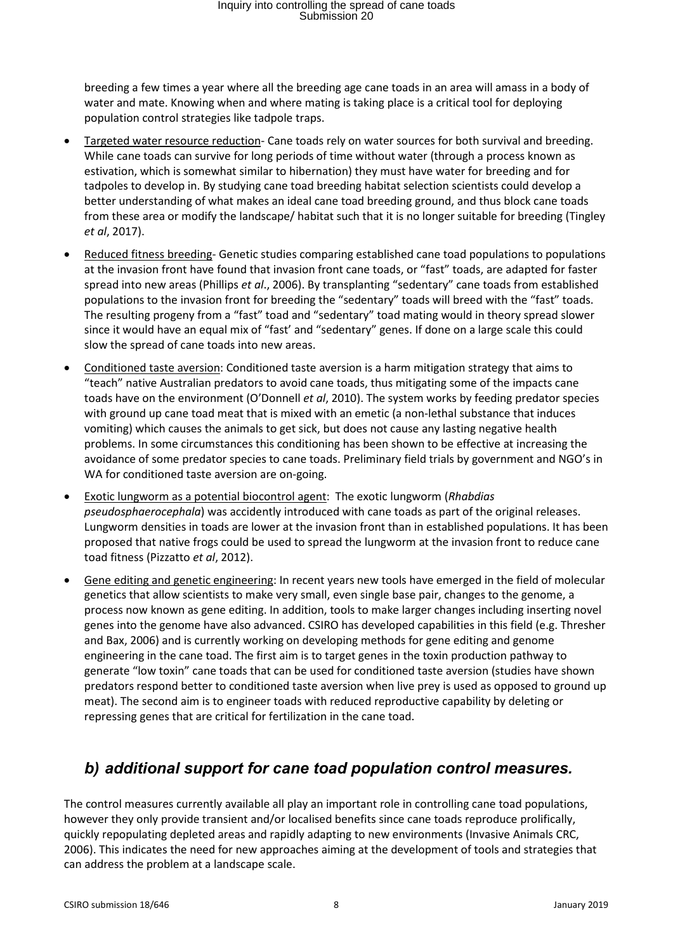breeding a few times a year where all the breeding age cane toads in an area will amass in a body of water and mate. Knowing when and where mating is taking place is a critical tool for deploying population control strategies like tadpole traps.

- Targeted water resource reduction- Cane toads rely on water sources for both survival and breeding. While cane toads can survive for long periods of time without water (through a process known as estivation, which is somewhat similar to hibernation) they must have water for breeding and for tadpoles to develop in. By studying cane toad breeding habitat selection scientists could develop a better understanding of what makes an ideal cane toad breeding ground, and thus block cane toads from these area or modify the landscape/ habitat such that it is no longer suitable for breeding (Tingley *et al*, 2017).
- Reduced fitness breeding- Genetic studies comparing established cane toad populations to populations at the invasion front have found that invasion front cane toads, or "fast" toads, are adapted for faster spread into new areas (Phillips *et al*., 2006). By transplanting "sedentary" cane toads from established populations to the invasion front for breeding the "sedentary" toads will breed with the "fast" toads. The resulting progeny from a "fast" toad and "sedentary" toad mating would in theory spread slower since it would have an equal mix of "fast' and "sedentary" genes. If done on a large scale this could slow the spread of cane toads into new areas.
- Conditioned taste aversion: Conditioned taste aversion is a harm mitigation strategy that aims to "teach" native Australian predators to avoid cane toads, thus mitigating some of the impacts cane toads have on the environment (O'Donnell *et al*, 2010). The system works by feeding predator species with ground up cane toad meat that is mixed with an emetic (a non-lethal substance that induces vomiting) which causes the animals to get sick, but does not cause any lasting negative health problems. In some circumstances this conditioning has been shown to be effective at increasing the avoidance of some predator species to cane toads. Preliminary field trials by government and NGO's in WA for conditioned taste aversion are on-going.
- Exotic lungworm as a potential biocontrol agent: The exotic lungworm (*Rhabdias pseudosphaerocephala*) was accidently introduced with cane toads as part of the original releases. Lungworm densities in toads are lower at the invasion front than in established populations. It has been proposed that native frogs could be used to spread the lungworm at the invasion front to reduce cane toad fitness (Pizzatto *et al*, 2012).
- Gene editing and genetic engineering: In recent years new tools have emerged in the field of molecular genetics that allow scientists to make very small, even single base pair, changes to the genome, a process now known as gene editing. In addition, tools to make larger changes including inserting novel genes into the genome have also advanced. CSIRO has developed capabilities in this field (e.g. Thresher and Bax, 2006) and is currently working on developing methods for gene editing and genome engineering in the cane toad. The first aim is to target genes in the toxin production pathway to generate "low toxin" cane toads that can be used for conditioned taste aversion (studies have shown predators respond better to conditioned taste aversion when live prey is used as opposed to ground up meat). The second aim is to engineer toads with reduced reproductive capability by deleting or repressing genes that are critical for fertilization in the cane toad.

#### <span id="page-7-0"></span>*b) additional support for cane toad population control measures.*

The control measures currently available all play an important role in controlling cane toad populations, however they only provide transient and/or localised benefits since cane toads reproduce prolifically, quickly repopulating depleted areas and rapidly adapting to new environments (Invasive Animals CRC, 2006). This indicates the need for new approaches aiming at the development of tools and strategies that can address the problem at a landscape scale.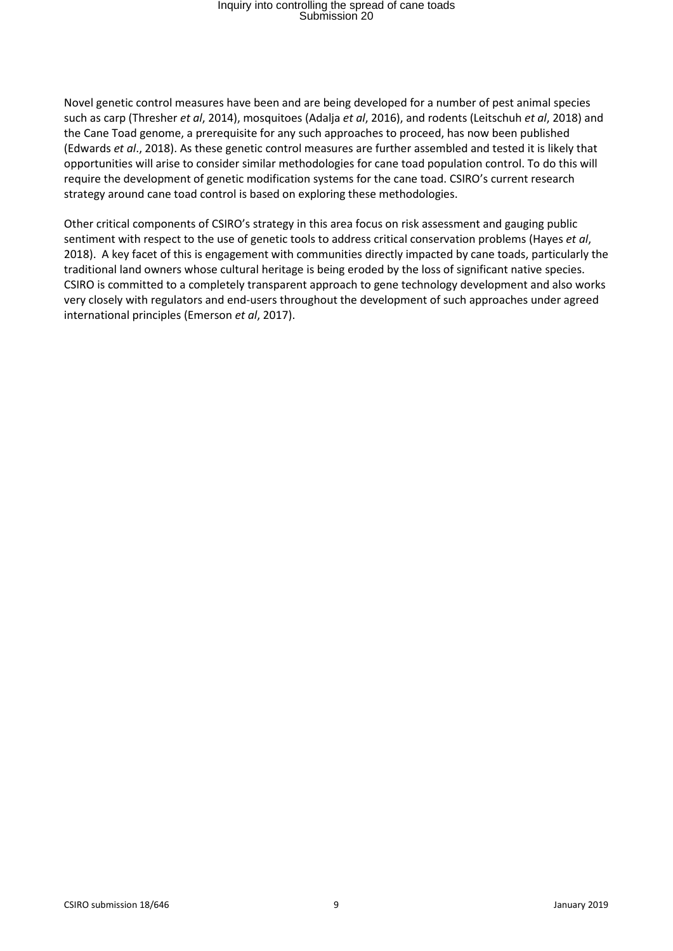Novel genetic control measures have been and are being developed for a number of pest animal species such as carp (Thresher *et al*, 2014), mosquitoes (Adalja *et al*, 2016), and rodents (Leitschuh *et al*, 2018) and the Cane Toad genome, a prerequisite for any such approaches to proceed, has now been published (Edwards *et al*., 2018). As these genetic control measures are further assembled and tested it is likely that opportunities will arise to consider similar methodologies for cane toad population control. To do this will require the development of genetic modification systems for the cane toad. CSIRO's current research strategy around cane toad control is based on exploring these methodologies.

Other critical components of CSIRO's strategy in this area focus on risk assessment and gauging public sentiment with respect to the use of genetic tools to address critical conservation problems (Hayes *et al*, 2018). A key facet of this is engagement with communities directly impacted by cane toads, particularly the traditional land owners whose cultural heritage is being eroded by the loss of significant native species. CSIRO is committed to a completely transparent approach to gene technology development and also works very closely with regulators and end-users throughout the development of such approaches under agreed international principles (Emerson *et al*, 2017).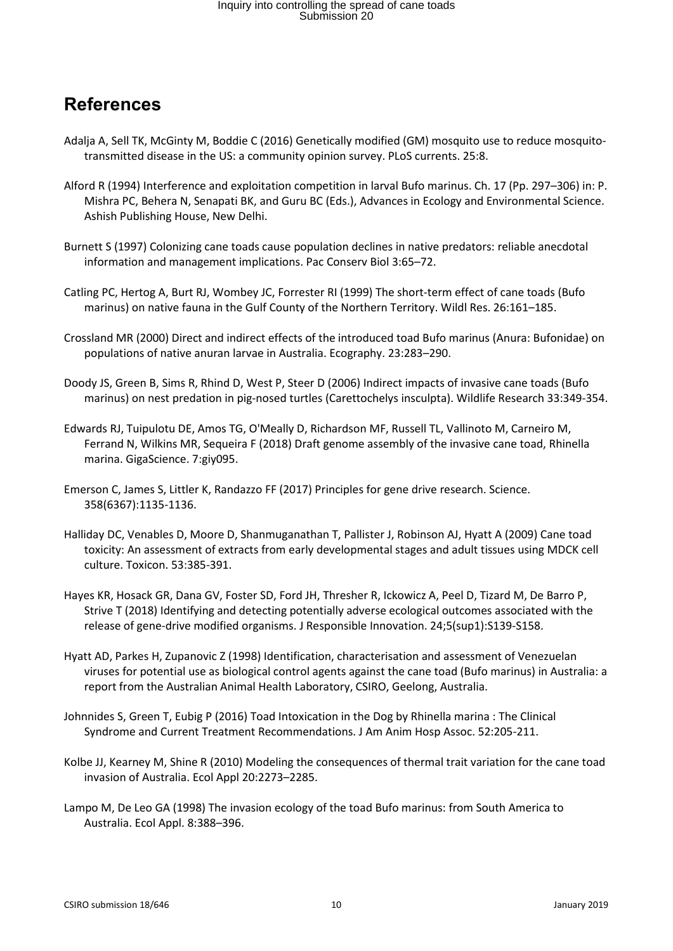#### <span id="page-9-0"></span>**References**

- Adalja A, Sell TK, McGinty M, Boddie C (2016) Genetically modified (GM) mosquito use to reduce mosquitotransmitted disease in the US: a community opinion survey. PLoS currents. 25:8.
- Alford R (1994) Interference and exploitation competition in larval Bufo marinus. Ch. 17 (Pp. 297–306) in: P. Mishra PC, Behera N, Senapati BK, and Guru BC (Eds.), Advances in Ecology and Environmental Science. Ashish Publishing House, New Delhi.
- Burnett S (1997) Colonizing cane toads cause population declines in native predators: reliable anecdotal information and management implications. Pac Conserv Biol 3:65–72.
- Catling PC, Hertog A, Burt RJ, Wombey JC, Forrester RI (1999) The short-term effect of cane toads (Bufo marinus) on native fauna in the Gulf County of the Northern Territory. Wildl Res. 26:161–185.
- Crossland MR (2000) Direct and indirect effects of the introduced toad Bufo marinus (Anura: Bufonidae) on populations of native anuran larvae in Australia. Ecography. 23:283–290.
- Doody JS, Green B, Sims R, Rhind D, West P, Steer D (2006) Indirect impacts of invasive cane toads (Bufo marinus) on nest predation in pig-nosed turtles (Carettochelys insculpta). Wildlife Research 33:349-354.
- Edwards RJ, Tuipulotu DE, Amos TG, O'Meally D, Richardson MF, Russell TL, Vallinoto M, Carneiro M, Ferrand N, Wilkins MR, Sequeira F (2018) Draft genome assembly of the invasive cane toad, Rhinella marina. GigaScience. 7:giy095.
- Emerson C, James S, Littler K, Randazzo FF (2017) Principles for gene drive research. Science. 358(6367):1135-1136.
- Halliday DC, Venables D, Moore D, Shanmuganathan T, Pallister J, Robinson AJ, Hyatt A (2009) Cane toad toxicity: An assessment of extracts from early developmental stages and adult tissues using MDCK cell culture. Toxicon. 53:385-391.
- Hayes KR, Hosack GR, Dana GV, Foster SD, Ford JH, Thresher R, Ickowicz A, Peel D, Tizard M, De Barro P, Strive T (2018) Identifying and detecting potentially adverse ecological outcomes associated with the release of gene-drive modified organisms. J Responsible Innovation. 24;5(sup1):S139-S158.
- Hyatt AD, Parkes H, Zupanovic Z (1998) Identification, characterisation and assessment of Venezuelan viruses for potential use as biological control agents against the cane toad (Bufo marinus) in Australia: a report from the Australian Animal Health Laboratory, CSIRO, Geelong, Australia.
- Johnnides S, Green T, Eubig P (2016) Toad Intoxication in the Dog by Rhinella marina : The Clinical Syndrome and Current Treatment Recommendations. J Am Anim Hosp Assoc. 52:205-211.
- Kolbe JJ, Kearney M, Shine R (2010) Modeling the consequences of thermal trait variation for the cane toad invasion of Australia. Ecol Appl 20:2273–2285.
- Lampo M, De Leo GA (1998) The invasion ecology of the toad Bufo marinus: from South America to Australia. Ecol Appl. 8:388–396.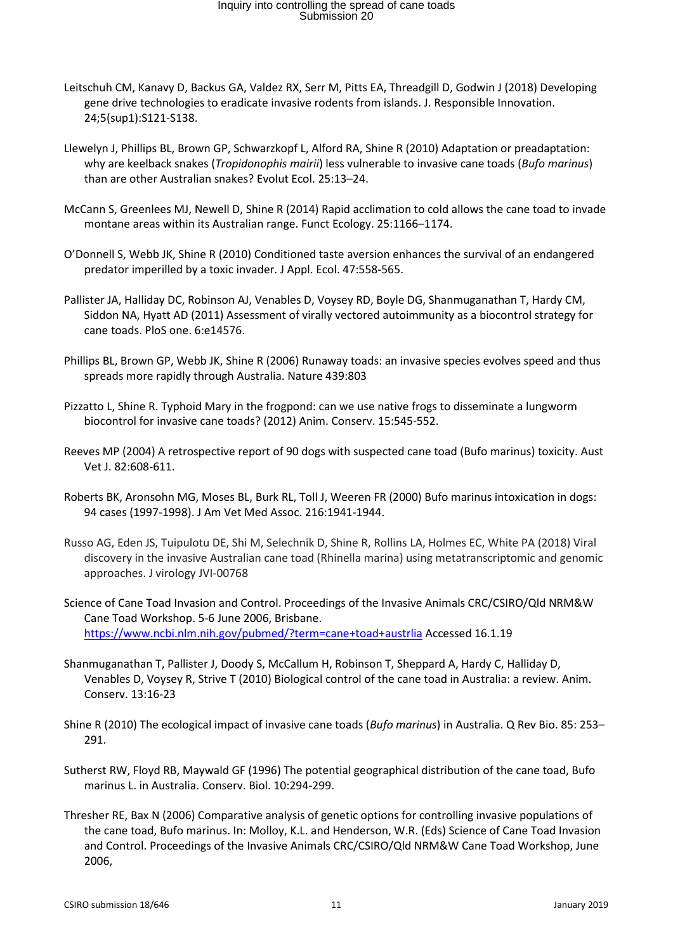- Leitschuh CM, Kanavy D, Backus GA, Valdez RX, Serr M, Pitts EA, Threadgill D, Godwin J (2018) Developing gene drive technologies to eradicate invasive rodents from islands. J. Responsible Innovation. 24;5(sup1):S121-S138.
- Llewelyn J, Phillips BL, Brown GP, Schwarzkopf L, Alford RA, Shine R (2010) Adaptation or preadaptation: why are keelback snakes (*Tropidonophis mairii*) less vulnerable to invasive cane toads (*Bufo marinus*) than are other Australian snakes? Evolut Ecol. 25:13–24.
- McCann S, Greenlees MJ, Newell D, Shine R (2014) Rapid acclimation to cold allows the cane toad to invade montane areas within its Australian range. Funct Ecology. 25:1166–1174.
- O'Donnell S, Webb JK, Shine R (2010) Conditioned taste aversion enhances the survival of an endangered predator imperilled by a toxic invader. J Appl. Ecol. 47:558-565.
- Pallister JA, Halliday DC, Robinson AJ, Venables D, Voysey RD, Boyle DG, Shanmuganathan T, Hardy CM, Siddon NA, Hyatt AD (2011) Assessment of virally vectored autoimmunity as a biocontrol strategy for cane toads. PloS one. 6:e14576.
- Phillips BL, Brown GP, Webb JK, Shine R (2006) Runaway toads: an invasive species evolves speed and thus spreads more rapidly through Australia. Nature 439:803
- Pizzatto L, Shine R. Typhoid Mary in the frogpond: can we use native frogs to disseminate a lungworm biocontrol for invasive cane toads? (2012) Anim. Conserv. 15:545-552.
- Reeves MP (2004) A retrospective report of 90 dogs with suspected cane toad (Bufo marinus) toxicity. Aust Vet J. 82:608-611.
- Roberts BK, Aronsohn MG, Moses BL, Burk RL, Toll J, Weeren FR (2000) Bufo marinus intoxication in dogs: 94 cases (1997-1998). J Am Vet Med Assoc. 216:1941-1944.
- Russo AG, Eden JS, Tuipulotu DE, Shi M, Selechnik D, Shine R, Rollins LA, Holmes EC, White PA (2018) Viral discovery in the invasive Australian cane toad (Rhinella marina) using metatranscriptomic and genomic approaches. J virology JVI-00768
- Science of Cane Toad Invasion and Control. Proceedings of the Invasive Animals CRC/CSIRO/Qld NRM&W Cane Toad Workshop. 5-6 June 2006, Brisbane. <https://www.ncbi.nlm.nih.gov/pubmed/?term=cane+toad+austrlia> Accessed 16.1.19
- Shanmuganathan T, Pallister J, Doody S, McCallum H, Robinson T, Sheppard A, Hardy C, Halliday D, Venables D, Voysey R, Strive T (2010) Biological control of the cane toad in Australia: a review. Anim. Conserv. 13:16-23
- Shine R (2010) The ecological impact of invasive cane toads (*Bufo marinus*) in Australia. Q Rev Bio. 85: 253– 291.
- Sutherst RW, Floyd RB, Maywald GF (1996) The potential geographical distribution of the cane toad, Bufo marinus L. in Australia. Conserv. Biol. 10:294-299.
- Thresher RE, Bax N (2006) Comparative analysis of genetic options for controlling invasive populations of the cane toad, Bufo marinus. In: Molloy, K.L. and Henderson, W.R. (Eds) Science of Cane Toad Invasion and Control. Proceedings of the Invasive Animals CRC/CSIRO/Qld NRM&W Cane Toad Workshop, June 2006,